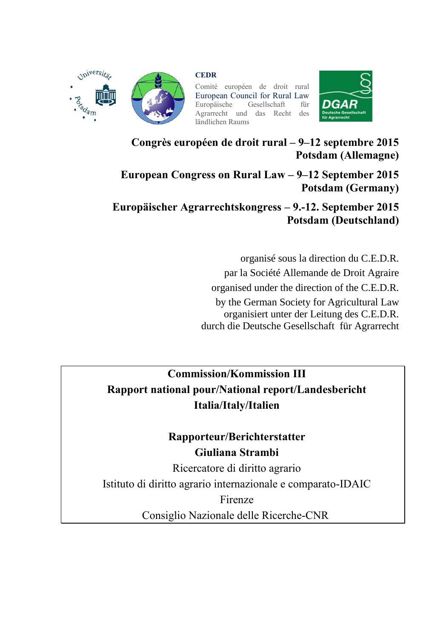

**CEDR**

Comité européen de droit rural European Council for Rural Law<br>Europäische Gesellschaft für Gesellschaft Agrarrecht und das Recht des ländlichen Raums



**Congrès européen de droit rural – 9–12 septembre 2015 Potsdam (Allemagne)**

**European Congress on Rural Law – 9–12 September 2015 Potsdam (Germany)**

**Europäischer Agrarrechtskongress – 9.-12. September 2015 Potsdam (Deutschland)**

> organisé sous la direction du C.E.D.R. par la Société Allemande de Droit Agraire organised under the direction of the C.E.D.R. by the German Society for Agricultural Law organisiert unter der Leitung des C.E.D.R. durch die Deutsche Gesellschaft für Agrarrecht

**Commission/Kommission III Rapport national pour/National report/Landesbericht Italia/Italy/Italien**

> **Rapporteur/Berichterstatter Giuliana Strambi**

Ricercatore di diritto agrario Istituto di diritto agrario internazionale e comparato-IDAIC Firenze Consiglio Nazionale delle Ricerche-CNR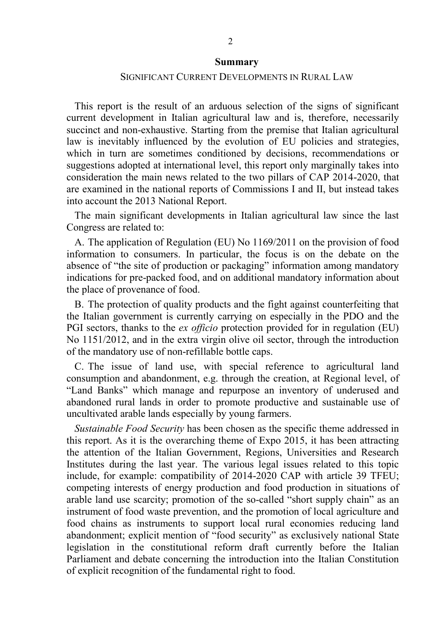#### **Summary**

## SIGNIFICANT CURRENT DEVELOPMENTS IN RURAL LAW

This report is the result of an arduous selection of the signs of significant current development in Italian agricultural law and is, therefore, necessarily succinct and non-exhaustive. Starting from the premise that Italian agricultural law is inevitably influenced by the evolution of EU policies and strategies, which in turn are sometimes conditioned by decisions, recommendations or suggestions adopted at international level, this report only marginally takes into consideration the main news related to the two pillars of CAP 2014-2020, that are examined in the national reports of Commissions I and II, but instead takes into account the 2013 National Report.

The main significant developments in Italian agricultural law since the last Congress are related to:

A. The application of Regulation (EU) No 1169/2011 on the provision of food information to consumers. In particular, the focus is on the debate on the absence of "the site of production or packaging" information among mandatory indications for pre-packed food, and on additional mandatory information about the place of provenance of food.

B. The protection of quality products and the fight against counterfeiting that the Italian government is currently carrying on especially in the PDO and the PGI sectors, thanks to the *ex officio* protection provided for in regulation (EU) No 1151/2012, and in the extra virgin olive oil sector, through the introduction of the mandatory use of non-refillable bottle caps.

C. The issue of land use, with special reference to agricultural land consumption and abandonment, e.g. through the creation, at Regional level, of "Land Banks" which manage and repurpose an inventory of underused and abandoned rural lands in order to promote productive and sustainable use of uncultivated arable lands especially by young farmers.

*Sustainable Food Security* has been chosen as the specific theme addressed in this report. As it is the overarching theme of Expo 2015, it has been attracting the attention of the Italian Government, Regions, Universities and Research Institutes during the last year. The various legal issues related to this topic include, for example: compatibility of 2014-2020 CAP with article 39 TFEU; competing interests of energy production and food production in situations of arable land use scarcity; promotion of the so-called "short supply chain" as an instrument of food waste prevention, and the promotion of local agriculture and food chains as instruments to support local rural economies reducing land abandonment; explicit mention of "food security" as exclusively national State legislation in the constitutional reform draft currently before the Italian Parliament and debate concerning the introduction into the Italian Constitution of explicit recognition of the fundamental right to food.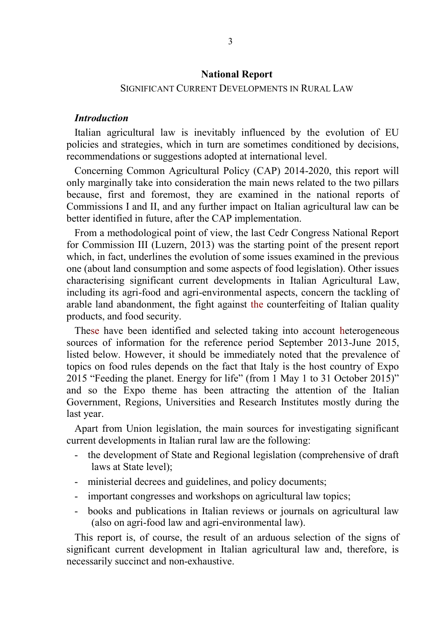### **National Report**

#### SIGNIFICANT CURRENT DEVELOPMENTS IN RURAL LAW

## *Introduction*

Italian agricultural law is inevitably influenced by the evolution of EU policies and strategies, which in turn are sometimes conditioned by decisions, recommendations or suggestions adopted at international level.

Concerning Common Agricultural Policy (CAP) 2014-2020, this report will only marginally take into consideration the main news related to the two pillars because, first and foremost, they are examined in the national reports of Commissions I and II, and any further impact on Italian agricultural law can be better identified in future, after the CAP implementation.

From a methodological point of view, the last Cedr Congress National Report for Commission III (Luzern, 2013) was the starting point of the present report which, in fact, underlines the evolution of some issues examined in the previous one (about land consumption and some aspects of food legislation). Other issues characterising significant current developments in Italian Agricultural Law, including its agri-food and agri-environmental aspects, concern the tackling of arable land abandonment, the fight against the counterfeiting of Italian quality products, and food security.

These have been identified and selected taking into account heterogeneous sources of information for the reference period September 2013-June 2015, listed below. However, it should be immediately noted that the prevalence of topics on food rules depends on the fact that Italy is the host country of Expo 2015 "Feeding the planet. Energy for life" (from 1 May 1 to 31 October 2015)" and so the Expo theme has been attracting the attention of the Italian Government, Regions, Universities and Research Institutes mostly during the last year.

Apart from Union legislation, the main sources for investigating significant current developments in Italian rural law are the following:

- the development of State and Regional legislation (comprehensive of draft laws at State level);
- ministerial decrees and guidelines, and policy documents;
- important congresses and workshops on agricultural law topics;
- books and publications in Italian reviews or journals on agricultural law (also on agri-food law and agri-environmental law).

This report is, of course, the result of an arduous selection of the signs of significant current development in Italian agricultural law and, therefore, is necessarily succinct and non-exhaustive.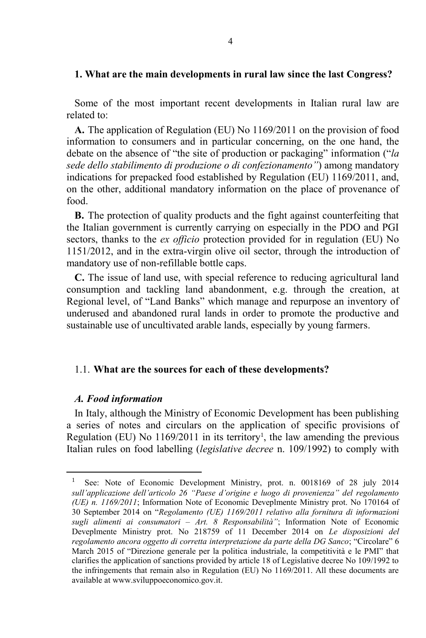## **1. What are the main developments in rural law since the last Congress?**

Some of the most important recent developments in Italian rural law are related to:

**A.** The application of Regulation (EU) No 1169/2011 on the provision of food information to consumers and in particular concerning, on the one hand, the debate on the absence of "the site of production or packaging" information ("*la sede dello stabilimento di produzione o di confezionamento"*) among mandatory indications for prepacked food established by Regulation (EU) 1169/2011, and, on the other, additional mandatory information on the place of provenance of food.

**B.** The protection of quality products and the fight against counterfeiting that the Italian government is currently carrying on especially in the PDO and PGI sectors, thanks to the *ex officio* protection provided for in regulation (EU) No 1151/2012, and in the extra-virgin olive oil sector, through the introduction of mandatory use of non-refillable bottle caps.

**C.** The issue of land use, with special reference to reducing agricultural land consumption and tackling land abandonment, e.g. through the creation, at Regional level, of "Land Banks" which manage and repurpose an inventory of underused and abandoned rural lands in order to promote the productive and sustainable use of uncultivated arable lands, especially by young farmers.

## 1.1. **What are the sources for each of these developments?**

## *A. Food information*

 $\overline{a}$ 

In Italy, although the Ministry of Economic Development has been publishing a series of notes and circulars on the application of specific provisions of Regulation (EU) No  $1169/2011$  in its territory<sup>1</sup>, the law amending the previous Italian rules on food labelling (*legislative decree* n. 109/1992) to comply with

See: Note of Economic Development Ministry, prot. n. 0018169 of 28 july 2014 *sull'applicazione dell'articolo 26 "Paese d'origine e luogo di provenienza" del regolamento (UE) n. 1169/2011*; Information Note of Economic Deveplmente Ministry prot. No 170164 of 30 September 2014 on "*Regolamento (UE) 1169/2011 relativo alla fornitura di informazioni sugli alimenti ai consumatori – Art. 8 Responsabilità"*; Information Note of Economic Deveplmente Ministry prot. No 218759 of 11 December 2014 on *Le disposizioni del regolamento ancora oggetto di corretta interpretazione da parte della DG Sanco*; "Circolare" 6 March 2015 of "Direzione generale per la politica industriale, la competitività e le PMI" that clarifies the application of sanctions provided by article 18 of Legislative decree No 109/1992 to the infringements that remain also in Regulation (EU) No 1169/2011. All these documents are available at www.sviluppoeconomico.gov.it.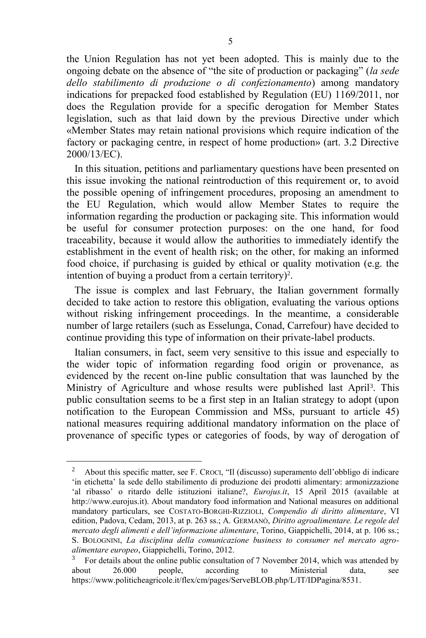the Union Regulation has not yet been adopted. This is mainly due to the ongoing debate on the absence of "the site of production or packaging" (*la sede dello stabilimento di produzione o di confezionamento*) among mandatory indications for prepacked food established by Regulation (EU) 1169/2011, nor does the Regulation provide for a specific derogation for Member States legislation, such as that laid down by the previous Directive under which «Member States may retain national provisions which require indication of the factory or packaging centre, in respect of home production» (art. 3.2 Directive 2000/13/EC).

In this situation, petitions and parliamentary questions have been presented on this issue invoking the national reintroduction of this requirement or, to avoid the possible opening of infringement procedures, proposing an amendment to the EU Regulation, which would allow Member States to require the information regarding the production or packaging site. This information would be useful for consumer protection purposes: on the one hand, for food traceability, because it would allow the authorities to immediately identify the establishment in the event of health risk; on the other, for making an informed food choice, if purchasing is guided by ethical or quality motivation (e.g. the intention of buying a product from a certain territory)<sup>2</sup>.

The issue is complex and last February, the Italian government formally decided to take action to restore this obligation, evaluating the various options without risking infringement proceedings. In the meantime, a considerable number of large retailers (such as Esselunga, Conad, Carrefour) have decided to continue providing this type of information on their private-label products.

Italian consumers, in fact, seem very sensitive to this issue and especially to the wider topic of information regarding food origin or provenance, as evidenced by the recent on-line public consultation that was launched by the Ministry of Agriculture and whose results were published last April<sup>3</sup>. This public consultation seems to be a first step in an Italian strategy to adopt (upon notification to the European Commission and MSs, pursuant to article 45) national measures requiring additional mandatory information on the place of provenance of specific types or categories of foods, by way of derogation of

 $\overline{a}$ 

<sup>2</sup> About this specific matter, see F. CROCI, "Il (discusso) superamento dell'obbligo di indicare 'in etichetta' la sede dello stabilimento di produzione dei prodotti alimentary: armonizzazione 'al ribasso' o ritardo delle istituzioni italiane?, *Eurojus.it*, 15 April 2015 (available at http://www.eurojus.it). About mandatory food information and National measures on additional mandatory particulars, see COSTATO-BORGHI-RIZZIOLI, *Compendio di diritto alimentare*, VI edition, Padova, Cedam, 2013, at p. 263 ss.; A. GERMANÒ, *Diritto agroalimentare. Le regole del mercato degli alimenti e dell'informazione alimentare*, Torino, Giappichelli, 2014, at p. 106 ss.; S. BOLOGNINI, *La disciplina della comunicazione business to consumer nel mercato agroalimentare europeo*, Giappichelli, Torino, 2012.

 $3$  For details about the online public consultation of 7 November 2014, which was attended by about 26.000 people, according to Ministerial data, see https://www.politicheagricole.it/flex/cm/pages/ServeBLOB.php/L/IT/IDPagina/8531.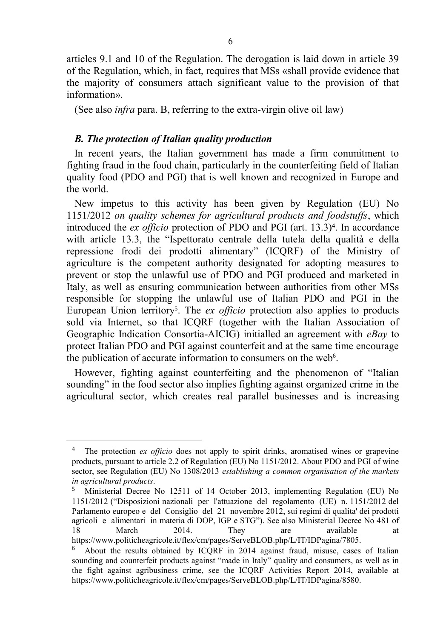articles 9.1 and 10 of the Regulation. The derogation is laid down in article 39 of the Regulation, which, in fact, requires that MSs «shall provide evidence that the majority of consumers attach significant value to the provision of that information».

(See also *infra* para. B, referring to the extra-virgin olive oil law)

## *B. The protection of Italian quality production*

 $\overline{a}$ 

In recent years, the Italian government has made a firm commitment to fighting fraud in the food chain, particularly in the counterfeiting field of Italian quality food (PDO and PGI) that is well known and recognized in Europe and the world.

New impetus to this activity has been given by Regulation (EU) No 1151/2012 *on quality schemes for agricultural products and foodstuffs*, which introduced the *ex officio* protection of PDO and PGI (art. 13.3)<sup>4</sup> . In accordance with article 13.3, the "Ispettorato centrale della tutela della qualità e della repressione frodi dei prodotti alimentary" (ICQRF) of the Ministry of agriculture is the competent authority designated for adopting measures to prevent or stop the unlawful use of PDO and PGI produced and marketed in Italy, as well as ensuring communication between authorities from other MSs responsible for stopping the unlawful use of Italian PDO and PGI in the European Union territory<sup>5</sup>. The *ex officio* protection also applies to products sold via Internet, so that ICQRF (together with the Italian Association of Geographic Indication Consortia-AICIG) initialled an agreement with *eBay* to protect Italian PDO and PGI against counterfeit and at the same time encourage the publication of accurate information to consumers on the web<sup>6</sup>.

However, fighting against counterfeiting and the phenomenon of "Italian sounding" in the food sector also implies fighting against organized crime in the agricultural sector, which creates real parallel businesses and is increasing

<sup>&</sup>lt;sup>4</sup> The protection *ex officio* does not apply to spirit drinks, aromatised wines or grapevine products, pursuant to article 2.2 of Regulation (EU) No 1151/2012. About PDO and PGI of wine sector, see Regulation (EU) No 1308/2013 *establishing a common organisation of the markets in agricultural products*.

<sup>5</sup> Ministerial Decree No 12511 of 14 October 2013, implementing Regulation (EU) No 1151/2012 ("Disposizioni nazionali per l'attuazione del regolamento (UE) n. 1151/2012 del Parlamento europeo e del Consiglio del 21 novembre 2012, sui regimi di qualita' dei prodotti agricoli e alimentari in materia di DOP, IGP e STG"). See also Ministerial Decree No 481 of 18 March 2014. They are available at https://www.politicheagricole.it/flex/cm/pages/ServeBLOB.php/L/IT/IDPagina/7805.

<sup>6</sup> About the results obtained by ICQRF in 2014 against fraud, misuse, cases of Italian sounding and counterfeit products against "made in Italy" quality and consumers, as well as in the fight against agribusiness crime, see the ICQRF Activities Report 2014, available at https://www.politicheagricole.it/flex/cm/pages/ServeBLOB.php/L/IT/IDPagina/8580.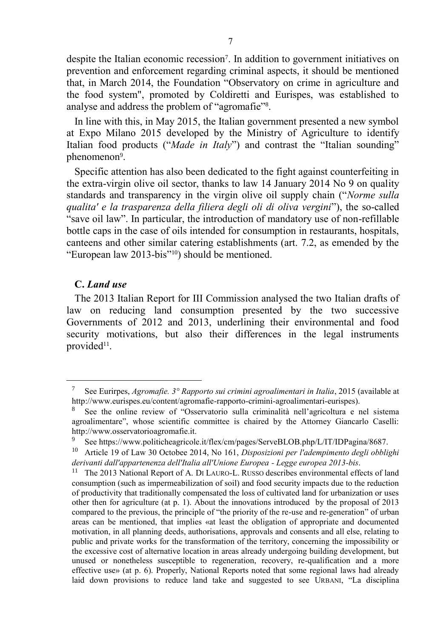despite the Italian economic recession<sup>7</sup>. In addition to government initiatives on prevention and enforcement regarding criminal aspects, it should be mentioned that, in March 2014, the Foundation "Observatory on crime in agriculture and the food system", promoted by Coldiretti and Eurispes, was established to analyse and address the problem of "agromafie"<sup>8</sup> .

In line with this, in May 2015, the Italian government presented a new symbol at Expo Milano 2015 developed by the Ministry of Agriculture to identify Italian food products ("*Made in Italy*") and contrast the "Italian sounding" phenomenon<sup>9</sup>.

Specific attention has also been dedicated to the fight against counterfeiting in the extra-virgin olive oil sector, thanks to law 14 January 2014 No 9 on quality standards and transparency in the virgin olive oil supply chain ("*Norme sulla qualita' e la trasparenza della filiera degli oli di oliva vergini*"), the so-called "save oil law". In particular, the introduction of mandatory use of non-refillable bottle caps in the case of oils intended for consumption in restaurants, hospitals, canteens and other similar catering establishments (art. 7.2, as emended by the "European law 2013-bis"10) should be mentioned.

## **C.** *Land use*

 $\overline{a}$ 

The 2013 Italian Report for III Commission analysed the two Italian drafts of law on reducing land consumption presented by the two successive Governments of 2012 and 2013, underlining their environmental and food security motivations, but also their differences in the legal instruments provided<sup>11</sup>.

<sup>7</sup> See Eurirpes, *Agromafie. 3° Rapporto sui crimini agroalimentari in Italia*, 2015 (available at http://www.eurispes.eu/content/agromafie-rapporto-crimini-agroalimentari-eurispes).

<sup>8</sup> See the online review of "Osservatorio sulla criminalità nell'agricoltura e nel sistema agroalimentare", whose scientific committee is chaired by the Attorney Giancarlo Caselli: http://www.osservatorioagromafie.it.

<sup>9</sup> See https://www.politicheagricole.it/flex/cm/pages/ServeBLOB.php/L/IT/IDPagina/8687.<br><sup>10</sup> Article 19 of Law 30 Octobes 2014. No. 161. Disposizioni per l'ademnimento degli obbli-

<sup>10</sup> Article 19 of Law 30 Octobee 2014, No 161, *Disposizioni per l'adempimento degli obblighi derivanti dall'appartenenza dell'Italia all'Unione Europea - Legge europea 2013-bis*.

<sup>&</sup>lt;sup>11</sup> The 2013 National Report of A. DI LAURO-L. RUSSO describes environmental effects of land consumption (such as impermeabilization of soil) and food security impacts due to the reduction of productivity that traditionally compensated the loss of cultivated land for urbanization or uses other then for agriculture (at p. 1). About the innovations introduced by the proposal of 2013 compared to the previous, the principle of "the priority of the re-use and re-generation" of urban areas can be mentioned, that implies «at least the obligation of appropriate and documented motivation, in all planning deeds, authorisations, approvals and consents and all else, relating to public and private works for the transformation of the territory, concerning the impossibility or the excessive cost of alternative location in areas already undergoing building development, but unused or nonetheless susceptible to regeneration, recovery, re-qualification and a more effective use» (at p. 6). Properly, National Reports noted that some regional laws had already laid down provisions to reduce land take and suggested to see URBANI, "La disciplina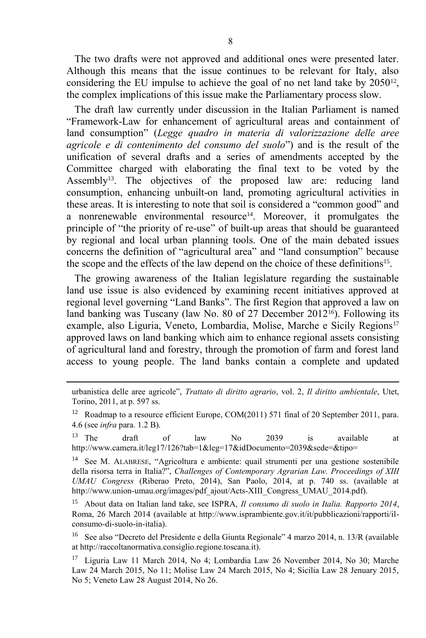The two drafts were not approved and additional ones were presented later. Although this means that the issue continues to be relevant for Italy, also considering the EU impulse to achieve the goal of no net land take by 2050<sup>12</sup>, the complex implications of this issue make the Parliamentary process slow.

The draft law currently under discussion in the Italian Parliament is named "Framework-Law for enhancement of agricultural areas and containment of land consumption" (*Legge quadro in materia di valorizzazione delle aree agricole e di contenimento del consumo del suolo*") and is the result of the unification of several drafts and a series of amendments accepted by the Committee charged with elaborating the final text to be voted by the Assembly<sup>13</sup>. The objectives of the proposed law are: reducing land consumption, enhancing unbuilt-on land, promoting agricultural activities in these areas. It is interesting to note that soil is considered a "common good" and a nonrenewable environmental resource<sup>14</sup>. Moreover, it promulgates the principle of "the priority of re-use" of built-up areas that should be guaranteed by regional and local urban planning tools. One of the main debated issues concerns the definition of "agricultural area" and "land consumption" because the scope and the effects of the law depend on the choice of these definitions<sup>15</sup>.

The growing awareness of the Italian legislature regarding the sustainable land use issue is also evidenced by examining recent initiatives approved at regional level governing "Land Banks". The first Region that approved a law on land banking was Tuscany (law No. 80 of 27 December 2012<sup>16</sup>). Following its example, also Liguria, Veneto, Lombardia, Molise, Marche e Sicily Regions<sup>17</sup> approved laws on land banking which aim to enhance regional assets consisting of agricultural land and forestry, through the promotion of farm and forest land access to young people. The land banks contain a complete and updated

 $\overline{a}$ 

urbanistica delle aree agricole", *Trattato di diritto agrario*, vol. 2, *Il diritto ambientale*, Utet, Torino, 2011, at p. 597 ss.

<sup>&</sup>lt;sup>12</sup> Roadmap to a resource efficient Europe, COM(2011) 571 final of 20 September 2011, para. 4.6 (see *infra* para. 1.2 B).

<sup>&</sup>lt;sup>13</sup> The draft of law No 2039 is available at http://www.camera.it/leg17/126?tab=1&leg=17&idDocumento=2039&sede=&tipo=

<sup>14</sup> See M. ALABRESE, "Agricoltura e ambiente: quail strumenti per una gestione sostenibile della risorsa terra in Italia?", *Challenges of Contemporary Agrarian Law. Proceedings of XIII UMAU Congress* (Riberao Preto, 2014), San Paolo, 2014, at p. 740 ss. (available at http://www.union-umau.org/images/pdf\_ajout/Acts-XIII\_Congress\_UMAU\_2014.pdf).

<sup>15</sup> About data on Italian land take, see ISPRA, *Il consumo di suolo in Italia. Rapporto 2014*, Roma, 26 March 2014 (available at http://www.isprambiente.gov.it/it/pubblicazioni/rapporti/ilconsumo-di-suolo-in-italia).

<sup>16</sup> See also "Decreto del Presidente e della Giunta Regionale" 4 marzo 2014, n. 13/R (available at http://raccoltanormativa.consiglio.regione.toscana.it).

<sup>17</sup> Liguria Law 11 March 2014, No 4; Lombardia Law 26 November 2014, No 30; Marche Law 24 March 2015, No 11; Molise Law 24 March 2015, No 4; Sicilia Law 28 Jenuary 2015, No 5; Veneto Law 28 August 2014, No 26.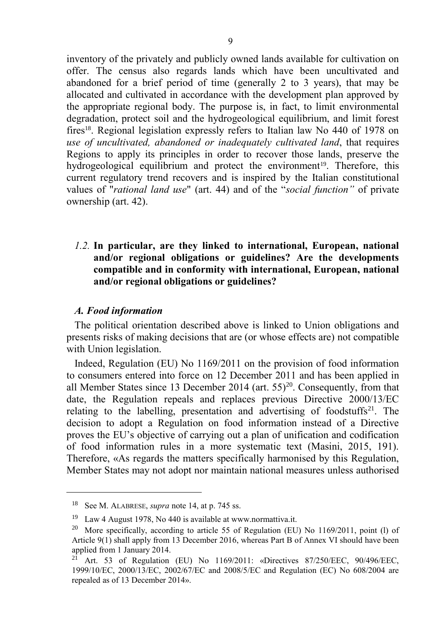inventory of the privately and publicly owned lands available for cultivation on offer. The census also regards lands which have been uncultivated and abandoned for a brief period of time (generally 2 to 3 years), that may be allocated and cultivated in accordance with the development plan approved by the appropriate regional body. The purpose is, in fact, to limit environmental degradation, protect soil and the hydrogeological equilibrium, and limit forest fires18. Regional legislation expressly refers to Italian law No 440 of 1978 on *use of uncultivated, abandoned or inadequately cultivated land*, that requires Regions to apply its principles in order to recover those lands, preserve the hydrogeological equilibrium and protect the environment<sup>19</sup>. Therefore, this current regulatory trend recovers and is inspired by the Italian constitutional values of "*rational land use*" (art. 44) and of the "*social function"* of private ownership (art. 42).

# *1.2.* **In particular, are they linked to international, European, national and/or regional obligations or guidelines? Are the developments compatible and in conformity with international, European, national and/or regional obligations or guidelines?**

### *A. Food information*

l

The political orientation described above is linked to Union obligations and presents risks of making decisions that are (or whose effects are) not compatible with Union legislation.

Indeed, Regulation (EU) No 1169/2011 on the provision of food information to consumers entered into force on 12 December 2011 and has been applied in all Member States since 13 December 2014 (art.  $55)^{20}$ . Consequently, from that date, the Regulation repeals and replaces previous Directive 2000/13/EC relating to the labelling, presentation and advertising of foodstuffs $21$ . The decision to adopt a Regulation on food information instead of a Directive proves the EU's objective of carrying out a plan of unification and codification of food information rules in a more systematic text (Masini, 2015, 191). Therefore, «As regards the matters specifically harmonised by this Regulation, Member States may not adopt nor maintain national measures unless authorised

<sup>18</sup> See M. ALABRESE, *supra* note 14, at p. 745 ss.

<sup>&</sup>lt;sup>19</sup> Law 4 August 1978, No 440 is available at www.normattiva.it.

<sup>&</sup>lt;sup>20</sup> More specifically, according to article 55 of Regulation (EU) No 1169/2011, point (l) of Article 9(1) shall apply from 13 December 2016, whereas Part B of Annex VI should have been applied from 1 January 2014.

<sup>&</sup>lt;sup>21</sup> Art. 53 of Regulation (EU) No  $1169/2011$ : «Directives 87/250/EEC, 90/496/EEC, 1999/10/EC, 2000/13/EC, 2002/67/EC and 2008/5/EC and Regulation (EC) No 608/2004 are repealed as of 13 December 2014».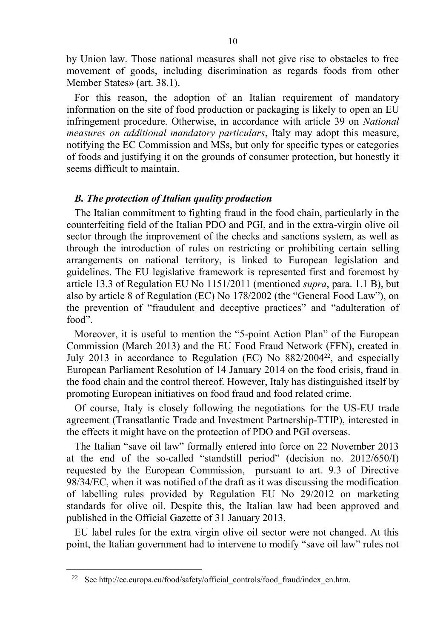by Union law. Those national measures shall not give rise to obstacles to free movement of goods, including discrimination as regards foods from other Member States» (art. 38.1).

For this reason, the adoption of an Italian requirement of mandatory information on the site of food production or packaging is likely to open an EU infringement procedure. Otherwise, in accordance with article 39 on *National measures on additional mandatory particulars*, Italy may adopt this measure, notifying the EC Commission and MSs, but only for specific types or categories of foods and justifying it on the grounds of consumer protection, but honestly it seems difficult to maintain.

## *B. The protection of Italian quality production*

The Italian commitment to fighting fraud in the food chain, particularly in the counterfeiting field of the Italian PDO and PGI, and in the extra-virgin olive oil sector through the improvement of the checks and sanctions system, as well as through the introduction of rules on restricting or prohibiting certain selling arrangements on national territory, is linked to European legislation and guidelines. The EU legislative framework is represented first and foremost by article 13.3 of Regulation EU No 1151/2011 (mentioned *supra*, para. 1.1 B), but also by article 8 of Regulation (EC) No 178/2002 (the "General Food Law"), on the prevention of "fraudulent and deceptive practices" and "adulteration of food".

Moreover, it is useful to mention the "5-point Action Plan" of the European Commission (March 2013) and the EU Food Fraud Network (FFN), created in July 2013 in accordance to Regulation (EC) No  $882/2004^{22}$ , and especially European Parliament Resolution of 14 January 2014 on the food crisis, fraud in the food chain and the control thereof. However, Italy has distinguished itself by promoting European initiatives on food fraud and food related crime.

Of course, Italy is closely following the negotiations for the US-EU trade agreement (Transatlantic Trade and Investment Partnership-TTIP), interested in the effects it might have on the protection of PDO and PGI overseas.

The Italian "save oil law" formally entered into force on 22 November 2013 at the end of the so-called "standstill period" (decision no. 2012/650/I) requested by the European Commission, pursuant to art. 9.3 of Directive 98/34/EC, when it was notified of the draft as it was discussing the modification of labelling rules provided by Regulation EU No 29/2012 on marketing standards for olive oil. Despite this, the Italian law had been approved and published in the Official Gazette of 31 January 2013.

EU label rules for the extra virgin olive oil sector were not changed. At this point, the Italian government had to intervene to modify "save oil law" rules not

l

<sup>&</sup>lt;sup>22</sup> See http://ec.europa.eu/food/safety/official\_controls/food\_fraud/index\_en.htm.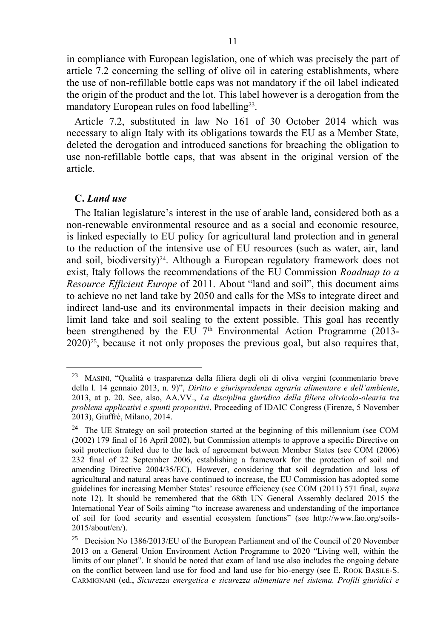in compliance with European legislation, one of which was precisely the part of article 7.2 concerning the selling of olive oil in catering establishments, where the use of non-refillable bottle caps was not mandatory if the oil label indicated the origin of the product and the lot. This label however is a derogation from the mandatory European rules on food labelling<sup>23</sup>.

Article 7.2, substituted in law No 161 of 30 October 2014 which was necessary to align Italy with its obligations towards the EU as a Member State, deleted the derogation and introduced sanctions for breaching the obligation to use non-refillable bottle caps, that was absent in the original version of the article.

## **C.** *Land use*

 $\overline{a}$ 

The Italian legislature's interest in the use of arable land, considered both as a non-renewable environmental resource and as a social and economic resource, is linked especially to EU policy for agricultural land protection and in general to the reduction of the intensive use of EU resources (such as water, air, land and soil, biodiversity)<sup>24</sup>. Although a European regulatory framework does not exist, Italy follows the recommendations of the EU Commission *Roadmap to a Resource Efficient Europe* of 2011. About "land and soil", this document aims to achieve no net land take by 2050 and calls for the MSs to integrate direct and indirect land-use and its environmental impacts in their decision making and limit land take and soil sealing to the extent possible. This goal has recently been strengthened by the EU  $7<sup>th</sup>$  Environmental Action Programme (2013-2020)25, because it not only proposes the previous goal, but also requires that,

<sup>23</sup> MASINI, "Qualità e trasparenza della filiera degli oli di oliva vergini (commentario breve della l. 14 gennaio 2013, n. 9)", *Diritto e giurisprudenza agraria alimentare e dell'ambiente*, 2013, at p. 20. See, also, AA.VV., *La disciplina giuridica della filiera olivicolo-olearia tra problemi applicativi e spunti propositivi*, Proceeding of IDAIC Congress (Firenze, 5 November 2013), Giuffrè, Milano, 2014.

<sup>&</sup>lt;sup>24</sup> The UE Strategy on soil protection started at the beginning of this millennium (see COM (2002) 179 final of 16 April 2002), but Commission attempts to approve a specific Directive on soil protection failed due to the lack of agreement between Member States (see COM (2006) 232 final of 22 September 2006, establishing a framework for the protection of soil and amending Directive 2004/35/EC). However, considering that soil degradation and loss of agricultural and natural areas have continued to increase, the EU Commission has adopted some guidelines for increasing Member States' resource efficiency (see COM (2011) 571 final, *supra* note 12). It should be remembered that the 68th UN General Assembly declared 2015 the International Year of Soils aiming "to increase awareness and understanding of the importance of soil for food security and essential ecosystem functions" (see http://www.fao.org/soils-2015/about/en/).

<sup>25</sup> Decision No 1386/2013/EU of the European Parliament and of the Council of 20 November 2013 on a General Union Environment Action Programme to 2020 "Living well, within the limits of our planet". It should be noted that exam of land use also includes the ongoing debate on the conflict between land use for food and land use for bio-energy (see E. ROOK BASILE-S. CARMIGNANI (ed., *Sicurezza energetica e sicurezza alimentare nel sistema. Profili giuridici e*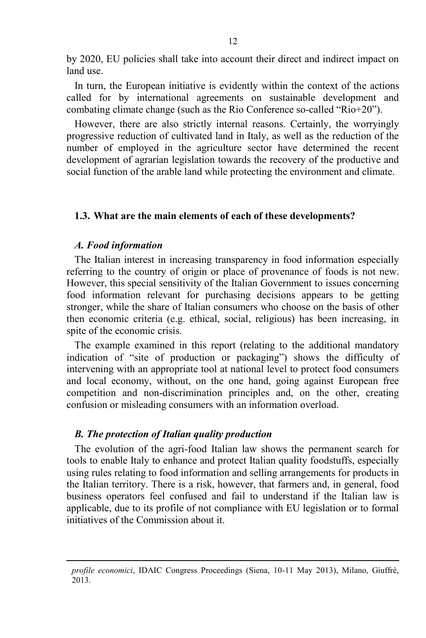by 2020, EU policies shall take into account their direct and indirect impact on land use.

In turn, the European initiative is evidently within the context of the actions called for by international agreements on sustainable development and combating climate change (such as the Rio Conference so-called "Rio+20").

However, there are also strictly internal reasons. Certainly, the worryingly progressive reduction of cultivated land in Italy, as well as the reduction of the number of employed in the agriculture sector have determined the recent development of agrarian legislation towards the recovery of the productive and social function of the arable land while protecting the environment and climate.

## **1.3. What are the main elements of each of these developments?**

## *A. Food information*

l

The Italian interest in increasing transparency in food information especially referring to the country of origin or place of provenance of foods is not new. However, this special sensitivity of the Italian Government to issues concerning food information relevant for purchasing decisions appears to be getting stronger, while the share of Italian consumers who choose on the basis of other then economic criteria (e.g. ethical, social, religious) has been increasing, in spite of the economic crisis.

The example examined in this report (relating to the additional mandatory indication of "site of production or packaging") shows the difficulty of intervening with an appropriate tool at national level to protect food consumers and local economy, without, on the one hand, going against European free competition and non-discrimination principles and, on the other, creating confusion or misleading consumers with an information overload.

## *B. The protection of Italian quality production*

The evolution of the agri-food Italian law shows the permanent search for tools to enable Italy to enhance and protect Italian quality foodstuffs, especially using rules relating to food information and selling arrangements for products in the Italian territory. There is a risk, however, that farmers and, in general, food business operators feel confused and fail to understand if the Italian law is applicable, due to its profile of not compliance with EU legislation or to formal initiatives of the Commission about it.

*profile economici*, IDAIC Congress Proceedings (Siena, 10-11 May 2013), Milano, Giuffrè,  $2013.$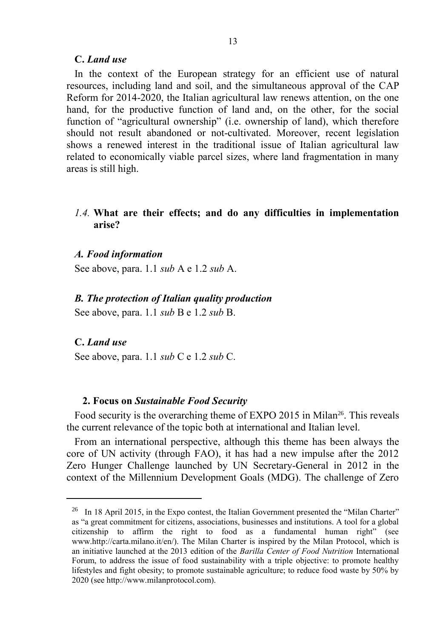## **C.** *Land use*

In the context of the European strategy for an efficient use of natural resources, including land and soil, and the simultaneous approval of the CAP Reform for 2014-2020, the Italian agricultural law renews attention, on the one hand, for the productive function of land and, on the other, for the social function of "agricultural ownership" (i.e. ownership of land), which therefore should not result abandoned or not-cultivated. Moreover, recent legislation shows a renewed interest in the traditional issue of Italian agricultural law related to economically viable parcel sizes, where land fragmentation in many areas is still high.

## *1.4.* **What are their effects; and do any difficulties in implementation arise?**

#### *A. Food information*

See above, para. 1.1 *sub* A e 1.2 *sub* A.

#### *B. The protection of Italian quality production*

See above, para. 1.1 *sub* B e 1.2 *sub* B.

#### **C.** *Land use*

 $\overline{a}$ 

See above, para. 1.1 *sub* C e 1.2 *sub* C.

### **2. Focus on** *Sustainable Food Security*

Food security is the overarching theme of EXPO 2015 in Milan<sup>26</sup>. This reveals the current relevance of the topic both at international and Italian level.

From an international perspective, although this theme has been always the core of UN activity (through FAO), it has had a new impulse after the 2012 Zero Hunger Challenge launched by UN Secretary-General in 2012 in the context of the Millennium Development Goals (MDG). The challenge of Zero

<sup>&</sup>lt;sup>26</sup> In 18 April 2015, in the Expo contest, the Italian Government presented the "Milan Charter" as "a great commitment for citizens, associations, businesses and institutions. A tool for a global citizenship to affirm the right to food as a fundamental human right" (see www.http://carta.milano.it/en/). The Milan Charter is inspired by the Milan Protocol, which is an initiative launched at the 2013 edition of the *Barilla Center of Food Nutrition* International Forum, to address the issue of food sustainability with a triple objective: to promote healthy lifestyles and fight obesity; to promote sustainable agriculture; to reduce food waste by 50% by 2020 (see http://www.milanprotocol.com).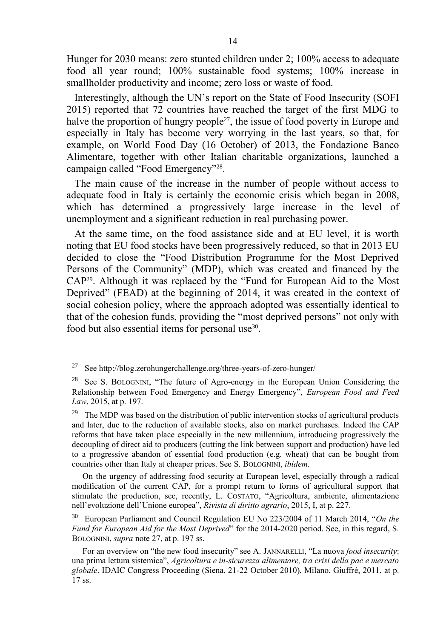Hunger for 2030 means: zero stunted children under 2; 100% access to adequate food all year round; 100% sustainable food systems; 100% increase in smallholder productivity and income; zero loss or waste of food.

Interestingly, although the UN's report on the State of Food Insecurity (SOFI 2015) reported that 72 countries have reached the target of the first MDG to halve the proportion of hungry people<sup>27</sup>, the issue of food poverty in Europe and especially in Italy has become very worrying in the last years, so that, for example, on World Food Day (16 October) of 2013, the Fondazione Banco Alimentare, together with other Italian charitable organizations, launched a campaign called "Food Emergency"<sup>28</sup>.

The main cause of the increase in the number of people without access to adequate food in Italy is certainly the economic crisis which began in 2008, which has determined a progressively large increase in the level of unemployment and a significant reduction in real purchasing power.

At the same time, on the food assistance side and at EU level, it is worth noting that EU food stocks have been progressively reduced, so that in 2013 EU decided to close the "Food Distribution Programme for the Most Deprived Persons of the Community" (MDP), which was created and financed by the CAP29. Although it was replaced by the "Fund for European Aid to the Most Deprived" (FEAD) at the beginning of 2014, it was created in the context of social cohesion policy, where the approach adopted was essentially identical to that of the cohesion funds, providing the "most deprived persons" not only with food but also essential items for personal use<sup>30</sup>.

 $\overline{a}$ 

On the urgency of addressing food security at European level, especially through a radical modification of the current CAP, for a prompt return to forms of agricultural support that stimulate the production, see, recently, L. COSTATO, "Agricoltura, ambiente, alimentazione nell'evoluzione dell'Unione europea", *Rivista di diritto agrario*, 2015, I, at p. 227.

<sup>30</sup> European Parliament and Council Regulation EU No 223/2004 of 11 March 2014, "*On the Fund for European Aid for the Most Deprived*" for the 2014-2020 period. See, in this regard, S. BOLOGNINI, *supra* note 27, at p. 197 ss.

<sup>27</sup> See http://blog.zerohungerchallenge.org/three-years-of-zero-hunger/

<sup>&</sup>lt;sup>28</sup> See S. BOLOGNINI, "The future of Agro-energy in the European Union Considering the Relationship between Food Emergency and Energy Emergency", *European Food and Feed Law*, 2015, at p. 197.

<sup>&</sup>lt;sup>29</sup> The MDP was based on the distribution of public intervention stocks of agricultural products and later, due to the reduction of available stocks, also on market purchases. Indeed the CAP reforms that have taken place especially in the new millennium, introducing progressively the decoupling of direct aid to producers (cutting the link between support and production) have led to a progressive abandon of essential food production (e.g. wheat) that can be bought from countries other than Italy at cheaper prices. See S. BOLOGNINI, *ibidem.* 

For an overview on "the new food insecurity" see A. JANNARELLI, "La nuova *food insecurity*: una prima lettura sistemica", *Agricoltura e in-sicurezza alimentare, tra crisi della pac e mercato globale*. IDAIC Congress Proceeding (Siena, 21-22 October 2010), Milano, Giuffrè, 2011, at p. 17 ss.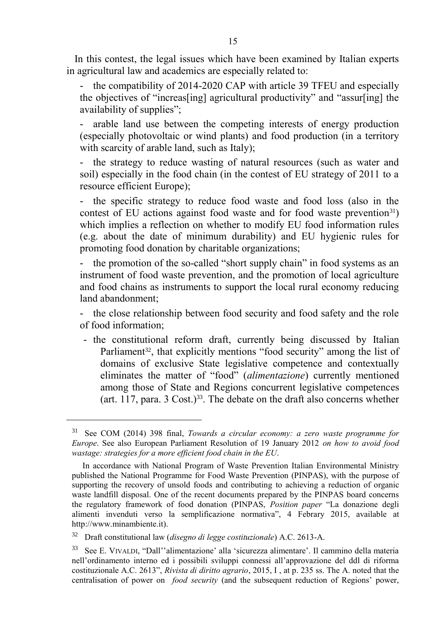In this contest, the legal issues which have been examined by Italian experts in agricultural law and academics are especially related to:

the compatibility of 2014-2020 CAP with article 39 TFEU and especially the objectives of "increas[ing] agricultural productivity" and "assur[ing] the availability of supplies";

- arable land use between the competing interests of energy production (especially photovoltaic or wind plants) and food production (in a territory with scarcity of arable land, such as Italy);

- the strategy to reduce wasting of natural resources (such as water and soil) especially in the food chain (in the contest of EU strategy of 2011 to a resource efficient Europe);

- the specific strategy to reduce food waste and food loss (also in the contest of EU actions against food waste and for food waste prevention<sup>31</sup>) which implies a reflection on whether to modify EU food information rules (e.g. about the date of minimum durability) and EU hygienic rules for promoting food donation by charitable organizations;

- the promotion of the so-called "short supply chain" in food systems as an instrument of food waste prevention, and the promotion of local agriculture and food chains as instruments to support the local rural economy reducing land abandonment;

- the close relationship between food security and food safety and the role of food information;

- the constitutional reform draft, currently being discussed by Italian Parliament<sup>32</sup>, that explicitly mentions "food security" among the list of domains of exclusive State legislative competence and contextually eliminates the matter of "food" (*alimentazione*) currently mentioned among those of State and Regions concurrent legislative competences (art. 117, para. 3 Cost.)33. The debate on the draft also concerns whether

l

<sup>31</sup> See COM (2014) 398 final, *Towards a circular economy: a zero waste programme for Europe*. See also European Parliament Resolution of 19 January 2012 *on how to avoid food wastage: strategies for a more efficient food chain in the EU*.

In accordance with National Program of Waste Prevention Italian Environmental Ministry published the National Programme for Food Waste Prevention (PINPAS), with the purpose of supporting the recovery of unsold foods and contributing to achieving a reduction of organic waste landfill disposal. One of the recent documents prepared by the PINPAS board concerns the regulatory framework of food donation (PINPAS, *Position paper* "La donazione degli alimenti invenduti verso la semplificazione normativa", 4 Febrary 2015, available at http://www.minambiente.it).

<sup>32</sup> Draft constitutional law (*disegno di legge costituzionale*) A.C. 2613-A.

<sup>33</sup> See E. VIVALDI, "Dall''alimentazione' alla 'sicurezza alimentare'. Il cammino della materia nell'ordinamento interno ed i possibili sviluppi connessi all'approvazione del ddl di riforma costituzionale A.C. 2613", *Rivista di diritto agrario*, 2015, I , at p. 235 ss. The A. noted that the centralisation of power on *food security* (and the subsequent reduction of Regions' power,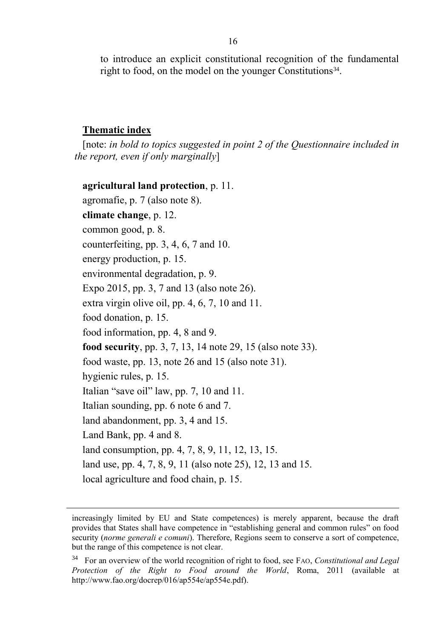to introduce an explicit constitutional recognition of the fundamental right to food, on the model on the younger Constitutions<sup>34</sup>.

# **Thematic index**

l

[note: *in bold to topics suggested in point 2 of the Questionnaire included in the report, even if only marginally*]

**agricultural land protection**, p. 11. agromafie, p. 7 (also note 8). **climate change**, p. 12. common good, p. 8. counterfeiting, pp. 3, 4, 6, 7 and 10. energy production, p. 15. environmental degradation, p. 9. Expo 2015, pp. 3, 7 and 13 (also note 26). extra virgin olive oil, pp. 4, 6, 7, 10 and 11. food donation, p. 15. food information, pp. 4, 8 and 9. **food security**, pp. 3, 7, 13, 14 note 29, 15 (also note 33). food waste, pp. 13, note 26 and 15 (also note 31). hygienic rules, p. 15. Italian "save oil" law, pp. 7, 10 and 11. Italian sounding, pp. 6 note 6 and 7. land abandonment, pp. 3, 4 and 15. Land Bank, pp. 4 and 8. land consumption, pp. 4, 7, 8, 9, 11, 12, 13, 15. land use, pp. 4, 7, 8, 9, 11 (also note 25), 12, 13 and 15. local agriculture and food chain, p. 15.

increasingly limited by EU and State competences) is merely apparent, because the draft provides that States shall have competence in "establishing general and common rules" on food security (*norme generali e comuni*). Therefore, Regions seem to conserve a sort of competence, but the range of this competence is not clear.

<sup>34</sup> For an overview of the world recognition of right to food, see FAO, *Constitutional and Legal Protection of the Right to Food around the World*, Roma, 2011 (available at http://www.fao.org/docrep/016/ap554e/ap554e.pdf).